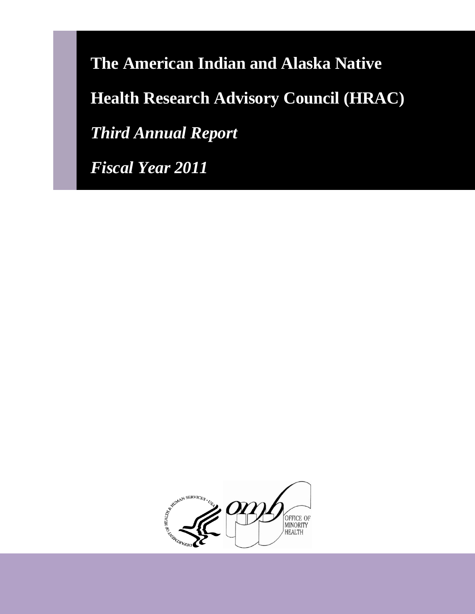**The American Indian and Alaska Native Health Research Advisory Council (HRAC)**  *Third Annual Report* 

*Fiscal Year 2011* 

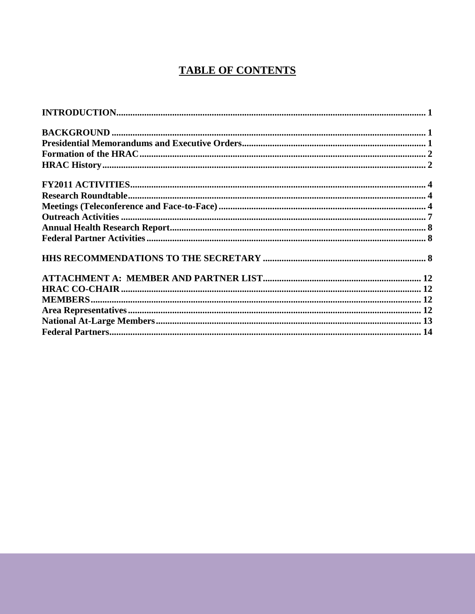## **TABLE OF CONTENTS**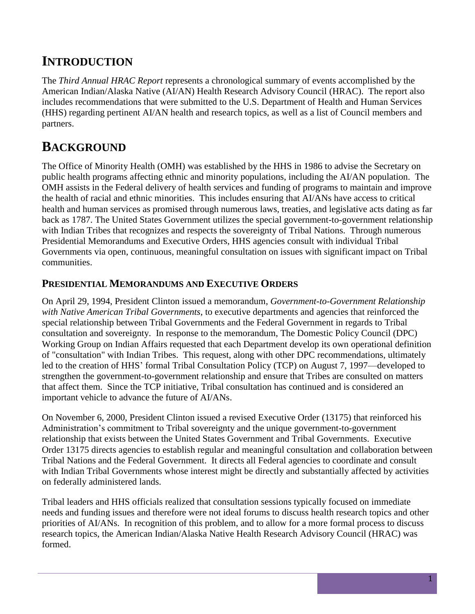# <span id="page-2-0"></span>**INTRODUCTION**

The *Third Annual HRAC Report* represents a chronological summary of events accomplished by the American Indian/Alaska Native (AI/AN) Health Research Advisory Council (HRAC). The report also includes recommendations that were submitted to the U.S. Department of Health and Human Services (HHS) regarding pertinent AI/AN health and research topics, as well as a list of Council members and partners.

## <span id="page-2-1"></span>**BACKGROUND**

The Office of Minority Health (OMH) was established by the HHS in 1986 to advise the Secretary on public health programs affecting ethnic and minority populations, including the AI/AN population. The OMH assists in the Federal delivery of health services and funding of programs to maintain and improve the health of racial and ethnic minorities. This includes ensuring that AI/ANs have access to critical health and human services as promised through numerous laws, treaties, and legislative acts dating as far back as 1787. The United States Government utilizes the special government-to-government relationship with Indian Tribes that recognizes and respects the sovereignty of Tribal Nations. Through numerous Presidential Memorandums and Executive Orders, HHS agencies consult with individual Tribal Governments via open, continuous, meaningful consultation on issues with significant impact on Tribal communities.

## <span id="page-2-2"></span>**PRESIDENTIAL MEMORANDUMS AND EXECUTIVE ORDERS**

On April 29, 1994, President Clinton issued a memorandum, *Government-to-Government Relationship with Native American Tribal Governments*, to executive departments and agencies that reinforced the special relationship between Tribal Governments and the Federal Government in regards to Tribal consultation and sovereignty. In response to the memorandum, The Domestic Policy Council (DPC) Working Group on Indian Affairs requested that each Department develop its own operational definition of "consultation" with Indian Tribes. This request, along with other DPC recommendations, ultimately led to the creation of HHS' formal Tribal Consultation Policy (TCP) on August 7, 1997—developed to strengthen the government-to-government relationship and ensure that Tribes are consulted on matters that affect them. Since the TCP initiative, Tribal consultation has continued and is considered an important vehicle to advance the future of AI/ANs.

On November 6, 2000, President Clinton issued a revised Executive Order (13175) that reinforced his Administration's commitment to Tribal sovereignty and the unique government-to-government relationship that exists between the United States Government and Tribal Governments. Executive Order 13175 directs agencies to establish regular and meaningful consultation and collaboration between Tribal Nations and the Federal Government. It directs all Federal agencies to coordinate and consult with Indian Tribal Governments whose interest might be directly and substantially affected by activities on federally administered lands.

<span id="page-2-3"></span>Tribal leaders and HHS officials realized that consultation sessions typically focused on immediate needs and funding issues and therefore were not ideal forums to discuss health research topics and other priorities of AI/ANs. In recognition of this problem, and to allow for a more formal process to discuss research topics, the American Indian/Alaska Native Health Research Advisory Council (HRAC) was formed.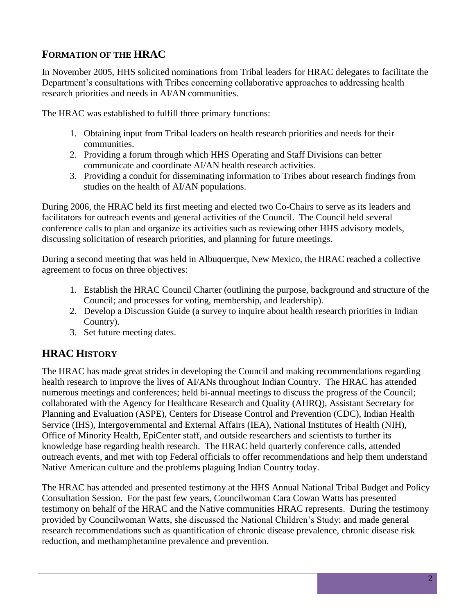## **FORMATION OF THE HRAC**

In November 2005, HHS solicited nominations from Tribal leaders for HRAC delegates to facilitate the Department's consultations with Tribes concerning collaborative approaches to addressing health research priorities and needs in AI/AN communities.

The HRAC was established to fulfill three primary functions:

- 1. Obtaining input from Tribal leaders on health research priorities and needs for their communities.
- 2. Providing a forum through which HHS Operating and Staff Divisions can better communicate and coordinate AI/AN health research activities.
- 3. Providing a conduit for disseminating information to Tribes about research findings from studies on the health of AI/AN populations.

During 2006, the HRAC held its first meeting and elected two Co-Chairs to serve as its leaders and facilitators for outreach events and general activities of the Council. The Council held several conference calls to plan and organize its activities such as reviewing other HHS advisory models, discussing solicitation of research priorities, and planning for future meetings.

During a second meeting that was held in Albuquerque, New Mexico, the HRAC reached a collective agreement to focus on three objectives:

- 1. Establish the HRAC Council Charter (outlining the purpose, background and structure of the Council; and processes for voting, membership, and leadership).
- 2. Develop a Discussion Guide (a survey to inquire about health research priorities in Indian Country).
- 3. Set future meeting dates.

## <span id="page-3-0"></span>**HRAC HISTORY**

The HRAC has made great strides in developing the Council and making recommendations regarding health research to improve the lives of AI/ANs throughout Indian Country. The HRAC has attended numerous meetings and conferences; held bi-annual meetings to discuss the progress of the Council; collaborated with the Agency for Healthcare Research and Quality (AHRQ), Assistant Secretary for Planning and Evaluation (ASPE), Centers for Disease Control and Prevention (CDC), Indian Health Service (IHS), Intergovernmental and External Affairs (IEA), National Institutes of Health (NIH), Office of Minority Health, EpiCenter staff, and outside researchers and scientists to further its knowledge base regarding health research. The HRAC held quarterly conference calls, attended outreach events, and met with top Federal officials to offer recommendations and help them understand Native American culture and the problems plaguing Indian Country today.

The HRAC has attended and presented testimony at the HHS Annual National Tribal Budget and Policy Consultation Session. For the past few years, Councilwoman Cara Cowan Watts has presented testimony on behalf of the HRAC and the Native communities HRAC represents. During the testimony provided by Councilwoman Watts, she discussed the National Children's Study; and made general research recommendations such as quantification of chronic disease prevalence, chronic disease risk reduction, and methamphetamine prevalence and prevention.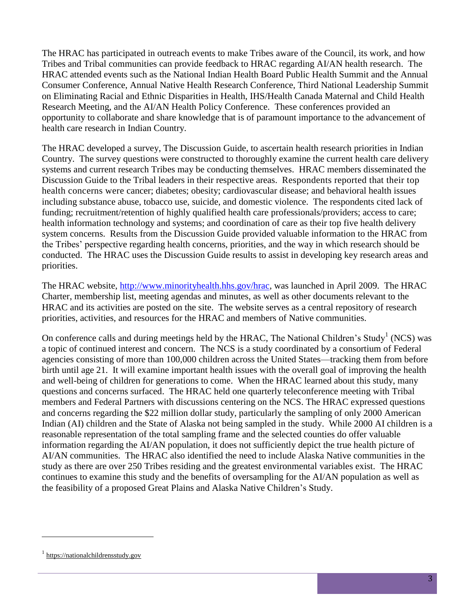The HRAC has participated in outreach events to make Tribes aware of the Council, its work, and how Tribes and Tribal communities can provide feedback to HRAC regarding AI/AN health research. The HRAC attended events such as the National Indian Health Board Public Health Summit and the Annual Consumer Conference, Annual Native Health Research Conference, Third National Leadership Summit on Eliminating Racial and Ethnic Disparities in Health, IHS/Health Canada Maternal and Child Health Research Meeting, and the AI/AN Health Policy Conference. These conferences provided an opportunity to collaborate and share knowledge that is of paramount importance to the advancement of health care research in Indian Country.

The HRAC developed a survey, The Discussion Guide, to ascertain health research priorities in Indian Country. The survey questions were constructed to thoroughly examine the current health care delivery systems and current research Tribes may be conducting themselves. HRAC members disseminated the Discussion Guide to the Tribal leaders in their respective areas. Respondents reported that their top health concerns were cancer; diabetes; obesity; cardiovascular disease; and behavioral health issues including substance abuse, tobacco use, suicide, and domestic violence. The respondents cited lack of funding; recruitment/retention of highly qualified health care professionals/providers; access to care; health information technology and systems; and coordination of care as their top five health delivery system concerns. Results from the Discussion Guide provided valuable information to the HRAC from the Tribes' perspective regarding health concerns, priorities, and the way in which research should be conducted. The HRAC uses the Discussion Guide results to assist in developing key research areas and priorities.

The HRAC website, [http://www.minorityhealth.hhs.gov/hrac,](http://www.minorityhealth.hhs.gov/hrac) was launched in April 2009. The HRAC Charter, membership list, meeting agendas and minutes, as well as other documents relevant to the HRAC and its activities are posted on the site. The website serves as a central repository of research priorities, activities, and resources for the HRAC and members of Native communities.

On conference calls and during meetings held by the HRAC, The National Children's Study<sup>1</sup> (NCS) was a topic of continued interest and concern. The NCS is a study coordinated by a consortium of Federal agencies consisting of more than 100,000 children across the United States—tracking them from before birth until age 21. It will examine important health issues with the overall goal of improving the health and well-being of children for generations to come. When the HRAC learned about this study, many questions and concerns surfaced. The HRAC held one quarterly teleconference meeting with Tribal members and Federal Partners with discussions centering on the NCS. The HRAC expressed questions and concerns regarding the \$22 million dollar study, particularly the sampling of only 2000 American Indian (AI) children and the State of Alaska not being sampled in the study. While 2000 AI children is a reasonable representation of the total sampling frame and the selected counties do offer valuable information regarding the AI/AN population, it does not sufficiently depict the true health picture of AI/AN communities. The HRAC also identified the need to include Alaska Native communities in the study as there are over 250 Tribes residing and the greatest environmental variables exist. The HRAC continues to examine this study and the benefits of oversampling for the AI/AN population as well as the feasibility of a proposed Great Plains and Alaska Native Children's Study.

 $\overline{a}$ 

<sup>1</sup> [https://nationalchildrensstudy.gov](https://nationalchildrensstudy.gov/)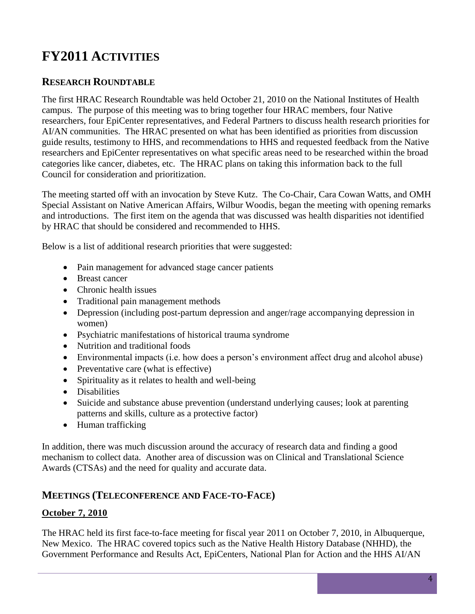# <span id="page-5-0"></span>**FY2011 ACTIVITIES**

## <span id="page-5-1"></span>**RESEARCH ROUNDTABLE**

The first HRAC Research Roundtable was held October 21, 2010 on the National Institutes of Health campus. The purpose of this meeting was to bring together four HRAC members, four Native researchers, four EpiCenter representatives, and Federal Partners to discuss health research priorities for AI/AN communities. The HRAC presented on what has been identified as priorities from discussion guide results, testimony to HHS, and recommendations to HHS and requested feedback from the Native researchers and EpiCenter representatives on what specific areas need to be researched within the broad categories like cancer, diabetes, etc. The HRAC plans on taking this information back to the full Council for consideration and prioritization.

The meeting started off with an invocation by Steve Kutz. The Co-Chair, Cara Cowan Watts, and OMH Special Assistant on Native American Affairs, Wilbur Woodis, began the meeting with opening remarks and introductions. The first item on the agenda that was discussed was health disparities not identified by HRAC that should be considered and recommended to HHS.

Below is a list of additional research priorities that were suggested:

- Pain management for advanced stage cancer patients
- Breast cancer
- Chronic health issues
- Traditional pain management methods
- Depression (including post-partum depression and anger/rage accompanying depression in women)
- Psychiatric manifestations of historical trauma syndrome
- Nutrition and traditional foods
- Environmental impacts (i.e. how does a person's environment affect drug and alcohol abuse)
- Preventative care (what is effective)
- Spirituality as it relates to health and well-being
- Disabilities
- Suicide and substance abuse prevention (understand underlying causes; look at parenting patterns and skills, culture as a protective factor)
- Human trafficking

In addition, there was much discussion around the accuracy of research data and finding a good mechanism to collect data. Another area of discussion was on Clinical and Translational Science Awards (CTSAs) and the need for quality and accurate data.

## <span id="page-5-2"></span>**MEETINGS (TELECONFERENCE AND FACE-TO-FACE)**

### **October 7, 2010**

The HRAC held its first face-to-face meeting for fiscal year 2011 on October 7, 2010, in Albuquerque, New Mexico. The HRAC covered topics such as the Native Health History Database (NHHD), the Government Performance and Results Act, EpiCenters, National Plan for Action and the HHS AI/AN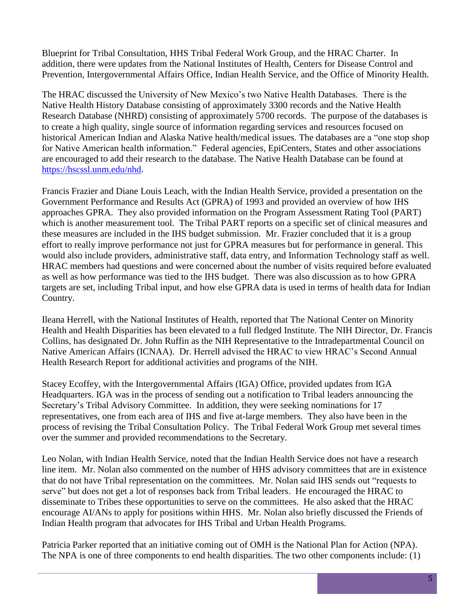Blueprint for Tribal Consultation, HHS Tribal Federal Work Group, and the HRAC Charter. In addition, there were updates from the National Institutes of Health, Centers for Disease Control and Prevention, Intergovernmental Affairs Office, Indian Health Service, and the Office of Minority Health.

The HRAC discussed the University of New Mexico's two Native Health Databases. There is the Native Health History Database consisting of approximately 3300 records and the Native Health Research Database (NHRD) consisting of approximately 5700 records. The purpose of the databases is to create a high quality, single source of information regarding services and resources focused on historical American Indian and Alaska Native health/medical issues. The databases are a "one stop shop for Native American health information." Federal agencies, EpiCenters, States and other associations are encouraged to add their research to the database. The Native Health Database can be found at [https://hscssl.unm.edu/nhd.](https://hscssl.unm.edu/nhd)

Francis Frazier and Diane Louis Leach, with the Indian Health Service, provided a presentation on the Government Performance and Results Act (GPRA) of 1993 and provided an overview of how IHS approaches GPRA. They also provided information on the Program Assessment Rating Tool (PART) which is another measurement tool. The Tribal PART reports on a specific set of clinical measures and these measures are included in the IHS budget submission. Mr. Frazier concluded that it is a group effort to really improve performance not just for GPRA measures but for performance in general. This would also include providers, administrative staff, data entry, and Information Technology staff as well. HRAC members had questions and were concerned about the number of visits required before evaluated as well as how performance was tied to the IHS budget. There was also discussion as to how GPRA targets are set, including Tribal input, and how else GPRA data is used in terms of health data for Indian Country.

Ileana Herrell, with the National Institutes of Health, reported that The National Center on Minority Health and Health Disparities has been elevated to a full fledged Institute. The NIH Director, Dr. Francis Collins, has designated Dr. John Ruffin as the NIH Representative to the Intradepartmental Council on Native American Affairs (ICNAA). Dr. Herrell advised the HRAC to view HRAC's Second Annual Health Research Report for additional activities and programs of the NIH.

Stacey Ecoffey, with the Intergovernmental Affairs (IGA) Office, provided updates from IGA Headquarters. IGA was in the process of sending out a notification to Tribal leaders announcing the Secretary's Tribal Advisory Committee. In addition, they were seeking nominations for 17 representatives, one from each area of IHS and five at-large members. They also have been in the process of revising the Tribal Consultation Policy. The Tribal Federal Work Group met several times over the summer and provided recommendations to the Secretary.

Leo Nolan, with Indian Health Service, noted that the Indian Health Service does not have a research line item. Mr. Nolan also commented on the number of HHS advisory committees that are in existence that do not have Tribal representation on the committees. Mr. Nolan said IHS sends out "requests to serve" but does not get a lot of responses back from Tribal leaders. He encouraged the HRAC to disseminate to Tribes these opportunities to serve on the committees. He also asked that the HRAC encourage AI/ANs to apply for positions within HHS. Mr. Nolan also briefly discussed the Friends of Indian Health program that advocates for IHS Tribal and Urban Health Programs.

Patricia Parker reported that an initiative coming out of OMH is the National Plan for Action (NPA). The NPA is one of three components to end health disparities. The two other components include: (1)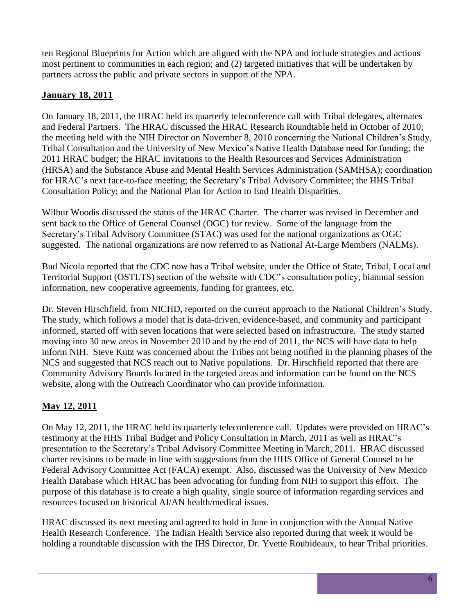ten Regional Blueprints for Action which are aligned with the NPA and include strategies and actions most pertinent to communities in each region; and (2) targeted initiatives that will be undertaken by partners across the public and private sectors in support of the NPA.

### **January 18, 2011**

On January 18, 2011, the HRAC held its quarterly teleconference call with Tribal delegates, alternates and Federal Partners. The HRAC discussed the HRAC Research Roundtable held in October of 2010; the meeting held with the NIH Director on November 8, 2010 concerning the National Children's Study, Tribal Consultation and the University of New Mexico's Native Health Database need for funding; the 2011 HRAC budget; the HRAC invitations to the Health Resources and Services Administration (HRSA) and the Substance Abuse and Mental Health Services Administration (SAMHSA); coordination for HRAC's next face-to-face meeting; the Secretary's Tribal Advisory Committee; the HHS Tribal Consultation Policy; and the National Plan for Action to End Health Disparities.

Wilbur Woodis discussed the status of the HRAC Charter. The charter was revised in December and sent back to the Office of General Counsel (OGC) for review. Some of the language from the Secretary's Tribal Advisory Committee (STAC) was used for the national organizations as OGC suggested. The national organizations are now referred to as National At-Large Members (NALMs).

Bud Nicola reported that the CDC now has a Tribal website, under the Office of State, Tribal, Local and Territorial Support (OSTLTS) section of the website with CDC's consultation policy, biannual session information, new cooperative agreements, funding for grantees, etc.

Dr. Steven Hirschfield, from NICHD, reported on the current approach to the National Children's Study. The study, which follows a model that is data-driven, evidence-based, and community and participant informed, started off with seven locations that were selected based on infrastructure. The study started moving into 30 new areas in November 2010 and by the end of 2011, the NCS will have data to help inform NIH. Steve Kutz was concerned about the Tribes not being notified in the planning phases of the NCS and suggested that NCS reach out to Native populations. Dr. Hirschfield reported that there are Community Advisory Boards located in the targeted areas and information can be found on the NCS website, along with the Outreach Coordinator who can provide information.

## **May 12, 2011**

On May 12, 2011, the HRAC held its quarterly teleconference call. Updates were provided on HRAC's testimony at the HHS Tribal Budget and Policy Consultation in March, 2011 as well as HRAC's presentation to the Secretary's Tribal Advisory Committee Meeting in March, 2011. HRAC discussed charter revisions to be made in line with suggestions from the HHS Office of General Counsel to be Federal Advisory Committee Act (FACA) exempt. Also, discussed was the University of New Mexico Health Database which HRAC has been advocating for funding from NIH to support this effort. The purpose of this database is to create a high quality, single source of information regarding services and resources focused on historical AI/AN health/medical issues.

HRAC discussed its next meeting and agreed to hold in June in conjunction with the Annual Native Health Research Conference. The Indian Health Service also reported during that week it would be holding a roundtable discussion with the IHS Director, Dr. Yvette Roubideaux, to hear Tribal priorities.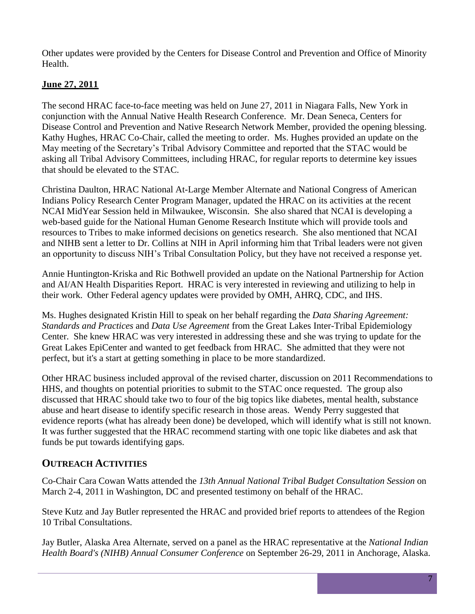Other updates were provided by the Centers for Disease Control and Prevention and Office of Minority Health.

### **June 27, 2011**

The second HRAC face-to-face meeting was held on June 27, 2011 in Niagara Falls, New York in conjunction with the Annual Native Health Research Conference. Mr. Dean Seneca, Centers for Disease Control and Prevention and Native Research Network Member, provided the opening blessing. Kathy Hughes, HRAC Co-Chair, called the meeting to order. Ms. Hughes provided an update on the May meeting of the Secretary's Tribal Advisory Committee and reported that the STAC would be asking all Tribal Advisory Committees, including HRAC, for regular reports to determine key issues that should be elevated to the STAC.

Christina Daulton, HRAC National At-Large Member Alternate and National Congress of American Indians Policy Research Center Program Manager, updated the HRAC on its activities at the recent NCAI MidYear Session held in Milwaukee, Wisconsin. She also shared that NCAI is developing a web-based guide for the National Human Genome Research Institute which will provide tools and resources to Tribes to make informed decisions on genetics research. She also mentioned that NCAI and NIHB sent a letter to Dr. Collins at NIH in April informing him that Tribal leaders were not given an opportunity to discuss NIH's Tribal Consultation Policy, but they have not received a response yet.

Annie Huntington-Kriska and Ric Bothwell provided an update on the National Partnership for Action and AI/AN Health Disparities Report. HRAC is very interested in reviewing and utilizing to help in their work. Other Federal agency updates were provided by OMH, AHRQ, CDC, and IHS.

Ms. Hughes designated Kristin Hill to speak on her behalf regarding the *Data Sharing Agreement: Standards and Practices* and *Data Use Agreement* from the Great Lakes Inter-Tribal Epidemiology Center. She knew HRAC was very interested in addressing these and she was trying to update for the Great Lakes EpiCenter and wanted to get feedback from HRAC. She admitted that they were not perfect, but it's a start at getting something in place to be more standardized.

Other HRAC business included approval of the revised charter, discussion on 2011 Recommendations to HHS, and thoughts on potential priorities to submit to the STAC once requested. The group also discussed that HRAC should take two to four of the big topics like diabetes, mental health, substance abuse and heart disease to identify specific research in those areas. Wendy Perry suggested that evidence reports (what has already been done) be developed, which will identify what is still not known. It was further suggested that the HRAC recommend starting with one topic like diabetes and ask that funds be put towards identifying gaps.

## <span id="page-8-0"></span>**OUTREACH ACTIVITIES**

Co-Chair Cara Cowan Watts attended the *13th Annual National Tribal Budget Consultation Session* on March 2-4, 2011 in Washington, DC and presented testimony on behalf of the HRAC.

Steve Kutz and Jay Butler represented the HRAC and provided brief reports to attendees of the Region 10 Tribal Consultations.

Jay Butler, Alaska Area Alternate, served on a panel as the HRAC representative at the *National Indian Health Board's (NIHB) Annual Consumer Conference* on September 26-29, 2011 in Anchorage, Alaska.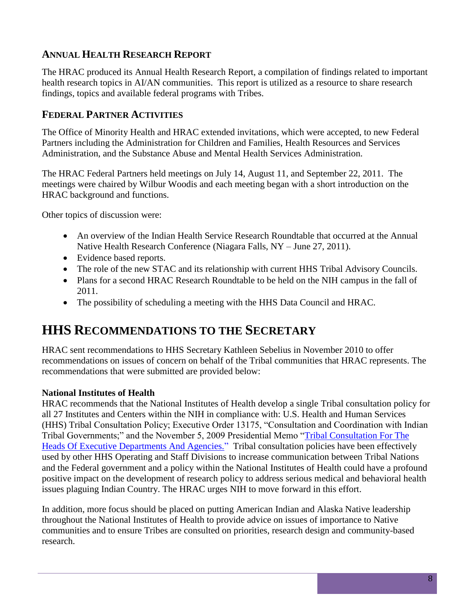## <span id="page-9-0"></span>**ANNUAL HEALTH RESEARCH REPORT**

The HRAC produced its Annual Health Research Report, a compilation of findings related to important health research topics in AI/AN communities. This report is utilized as a resource to share research findings, topics and available federal programs with Tribes.

## <span id="page-9-1"></span>**FEDERAL PARTNER ACTIVITIES**

The Office of Minority Health and HRAC extended invitations, which were accepted, to new Federal Partners including the Administration for Children and Families, Health Resources and Services Administration, and the Substance Abuse and Mental Health Services Administration.

The HRAC Federal Partners held meetings on July 14, August 11, and September 22, 2011. The meetings were chaired by Wilbur Woodis and each meeting began with a short introduction on the HRAC background and functions.

Other topics of discussion were:

- An overview of the Indian Health Service Research Roundtable that occurred at the Annual Native Health Research Conference (Niagara Falls, NY – June 27, 2011).
- Evidence based reports.
- The role of the new STAC and its relationship with current HHS Tribal Advisory Councils.
- Plans for a second HRAC Research Roundtable to be held on the NIH campus in the fall of 2011.
- The possibility of scheduling a meeting with the HHS Data Council and HRAC.

## <span id="page-9-2"></span>**HHS RECOMMENDATIONS TO THE SECRETARY**

HRAC sent recommendations to HHS Secretary Kathleen Sebelius in November 2010 to offer recommendations on issues of concern on behalf of the Tribal communities that HRAC represents. The recommendations that were submitted are provided below:

#### **National Institutes of Health**

HRAC recommends that the National Institutes of Health develop a single Tribal consultation policy for all 27 Institutes and Centers within the NIH in compliance with: U.S. Health and Human Services (HHS) Tribal Consultation Policy; Executive Order 13175, "Consultation and Coordination with Indian Tribal Governments;" and the November 5, 2009 Presidential Memo "Tribal Consultation For The Heads Of Executive Departments And Agencies." Tribal consultation policies have been effectively used by other HHS Operating and Staff Divisions to increase communication between Tribal Nations and the Federal government and a policy within the National Institutes of Health could have a profound positive impact on the development of research policy to address serious medical and behavioral health issues plaguing Indian Country. The HRAC urges NIH to move forward in this effort.

In addition, more focus should be placed on putting American Indian and Alaska Native leadership throughout the National Institutes of Health to provide advice on issues of importance to Native communities and to ensure Tribes are consulted on priorities, research design and community-based research.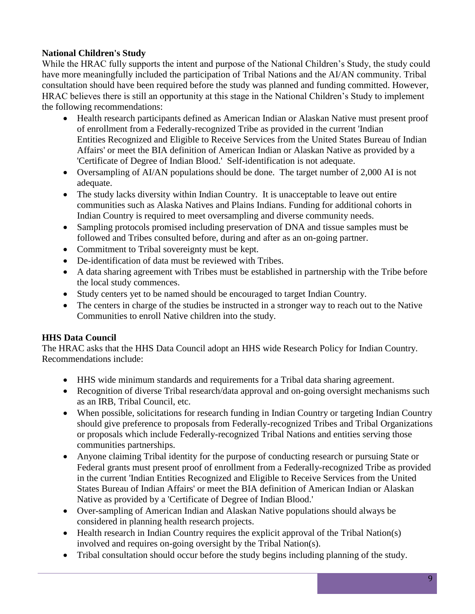### **National Children's Study**

While the HRAC fully supports the intent and purpose of the National Children's Study, the study could have more meaningfully included the participation of Tribal Nations and the AI/AN community. Tribal consultation should have been required before the study was planned and funding committed. However, HRAC believes there is still an opportunity at this stage in the National Children's Study to implement the following recommendations:

- Health research participants defined as American Indian or Alaskan Native must present proof of enrollment from a Federally-recognized Tribe as provided in the current 'Indian Entities Recognized and Eligible to Receive Services from the United States Bureau of Indian Affairs' or meet the BIA definition of American Indian or Alaskan Native as provided by a 'Certificate of Degree of Indian Blood.' Self-identification is not adequate.
- Oversampling of AI/AN populations should be done. The target number of 2,000 AI is not adequate.
- The study lacks diversity within Indian Country. It is unacceptable to leave out entire communities such as Alaska Natives and Plains Indians. Funding for additional cohorts in Indian Country is required to meet oversampling and diverse community needs.
- Sampling protocols promised including preservation of DNA and tissue samples must be followed and Tribes consulted before, during and after as an on-going partner.
- Commitment to Tribal sovereignty must be kept.
- De-identification of data must be reviewed with Tribes.
- A data sharing agreement with Tribes must be established in partnership with the Tribe before the local study commences.
- Study centers yet to be named should be encouraged to target Indian Country.
- The centers in charge of the studies be instructed in a stronger way to reach out to the Native Communities to enroll Native children into the study.

### **HHS Data Council**

The HRAC asks that the HHS Data Council adopt an HHS wide Research Policy for Indian Country. Recommendations include:

- HHS wide minimum standards and requirements for a Tribal data sharing agreement.
- Recognition of diverse Tribal research/data approval and on-going oversight mechanisms such as an IRB, Tribal Council, etc.
- When possible, solicitations for research funding in Indian Country or targeting Indian Country should give preference to proposals from Federally-recognized Tribes and Tribal Organizations or proposals which include Federally-recognized Tribal Nations and entities serving those communities partnerships.
- Anyone claiming Tribal identity for the purpose of conducting research or pursuing State or Federal grants must present proof of enrollment from a Federally-recognized Tribe as provided in the current 'Indian Entities Recognized and Eligible to Receive Services from the United States Bureau of Indian Affairs' or meet the BIA definition of American Indian or Alaskan Native as provided by a 'Certificate of Degree of Indian Blood.'
- Over-sampling of American Indian and Alaskan Native populations should always be considered in planning health research projects.
- Health research in Indian Country requires the explicit approval of the Tribal Nation(s) involved and requires on-going oversight by the Tribal Nation(s).
- Tribal consultation should occur before the study begins including planning of the study.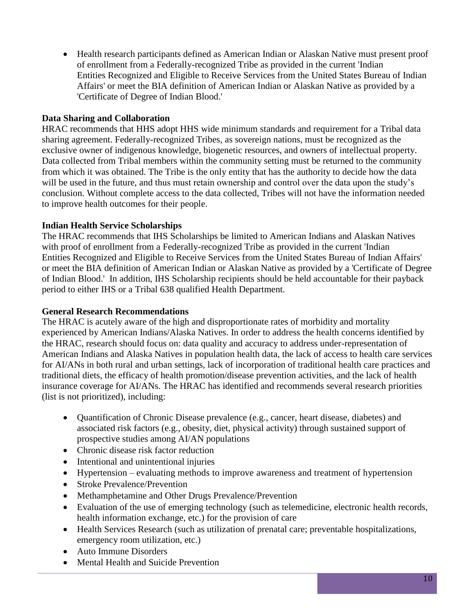Health research participants defined as American Indian or Alaskan Native must present proof of enrollment from a Federally-recognized Tribe as provided in the current 'Indian Entities Recognized and Eligible to Receive Services from the United States Bureau of Indian Affairs' or meet the BIA definition of American Indian or Alaskan Native as provided by a 'Certificate of Degree of Indian Blood.'

#### **Data Sharing and Collaboration**

HRAC recommends that HHS adopt HHS wide minimum standards and requirement for a Tribal data sharing agreement. Federally-recognized Tribes, as sovereign nations, must be recognized as the exclusive owner of indigenous knowledge, biogenetic resources, and owners of intellectual property. Data collected from Tribal members within the community setting must be returned to the community from which it was obtained. The Tribe is the only entity that has the authority to decide how the data will be used in the future, and thus must retain ownership and control over the data upon the study's conclusion. Without complete access to the data collected, Tribes will not have the information needed to improve health outcomes for their people.

#### **Indian Health Service Scholarships**

The HRAC recommends that IHS Scholarships be limited to American Indians and Alaskan Natives with proof of enrollment from a Federally-recognized Tribe as provided in the current 'Indian Entities Recognized and Eligible to Receive Services from the United States Bureau of Indian Affairs' or meet the BIA definition of American Indian or Alaskan Native as provided by a 'Certificate of Degree of Indian Blood.' In addition, IHS Scholarship recipients should be held accountable for their payback period to either IHS or a Tribal 638 qualified Health Department.

#### **General Research Recommendations**

The HRAC is acutely aware of the high and disproportionate rates of morbidity and mortality experienced by American Indians/Alaska Natives. In order to address the health concerns identified by the HRAC, research should focus on: data quality and accuracy to address under-representation of American Indians and Alaska Natives in population health data, the lack of access to health care services for AI/ANs in both rural and urban settings, lack of incorporation of traditional health care practices and traditional diets, the efficacy of health promotion/disease prevention activities, and the lack of health insurance coverage for AI/ANs. The HRAC has identified and recommends several research priorities (list is not prioritized), including:

- Quantification of Chronic Disease prevalence (e.g., cancer, heart disease, diabetes) and associated risk factors (e.g., obesity, diet, physical activity) through sustained support of prospective studies among AI/AN populations
- Chronic disease risk factor reduction
- Intentional and unintentional injuries
- Hypertension evaluating methods to improve awareness and treatment of hypertension
- Stroke Prevalence/Prevention
- Methamphetamine and Other Drugs Prevalence/Prevention
- Evaluation of the use of emerging technology (such as telemedicine, electronic health records, health information exchange, etc.) for the provision of care
- Health Services Research (such as utilization of prenatal care; preventable hospitalizations, emergency room utilization, etc.)
- Auto Immune Disorders
- Mental Health and Suicide Prevention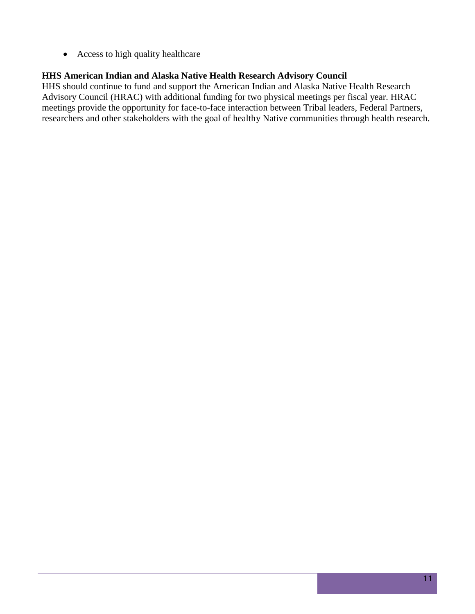• Access to high quality healthcare

#### **HHS American Indian and Alaska Native Health Research Advisory Council**

HHS should continue to fund and support the American Indian and Alaska Native Health Research Advisory Council (HRAC) with additional funding for two physical meetings per fiscal year. HRAC meetings provide the opportunity for face-to-face interaction between Tribal leaders, Federal Partners, researchers and other stakeholders with the goal of healthy Native communities through health research.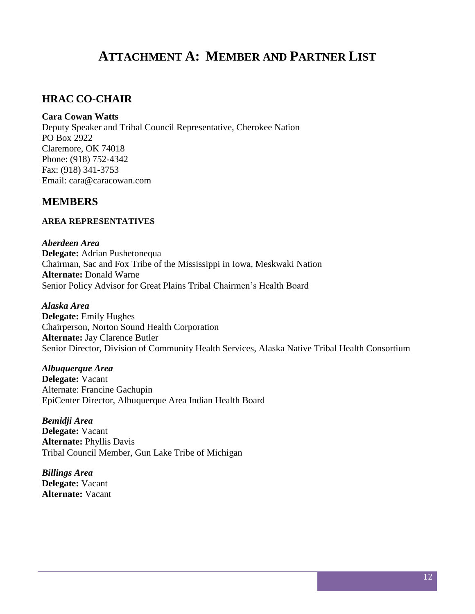## **ATTACHMENT A: MEMBER AND PARTNER LIST**

## <span id="page-13-1"></span><span id="page-13-0"></span>**HRAC CO-CHAIR**

#### **Cara Cowan Watts**

Deputy Speaker and Tribal Council Representative, Cherokee Nation PO Box 2922 Claremore, OK 74018 Phone: (918) 752-4342 Fax: (918) 341-3753 Email: [cara@caracowan.com](mailto:cara@caracowan.com)

### <span id="page-13-2"></span>**MEMBERS**

#### <span id="page-13-3"></span>**AREA REPRESENTATIVES**

*Aberdeen Area* **Delegate:** Adrian Pushetonequa Chairman, Sac and Fox Tribe of the Mississippi in Iowa, Meskwaki Nation **Alternate:** Donald Warne Senior Policy Advisor for Great Plains Tribal Chairmen's Health Board

*Alaska Area* **Delegate:** Emily Hughes Chairperson, Norton Sound Health Corporation **Alternate:** Jay Clarence Butler Senior Director, Division of Community Health Services, Alaska Native Tribal Health Consortium

*Albuquerque Area* **Delegate:** Vacant Alternate: Francine Gachupin EpiCenter Director, Albuquerque Area Indian Health Board

*Bemidji Area* **Delegate:** Vacant **Alternate:** Phyllis Davis Tribal Council Member, Gun Lake Tribe of Michigan

*Billings Area* **Delegate:** Vacant **Alternate:** Vacant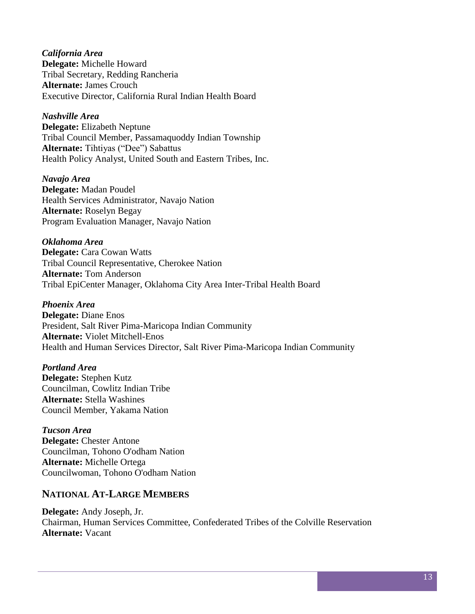*California Area*  **Delegate:** Michelle Howard Tribal Secretary, Redding Rancheria **Alternate:** James Crouch Executive Director, California Rural Indian Health Board

*Nashville Area*  **Delegate:** Elizabeth Neptune Tribal Council Member, Passamaquoddy Indian Township

**Alternate:** Tihtiyas ("Dee") Sabattus Health Policy Analyst, United South and Eastern Tribes, Inc.

*Navajo Area*  **Delegate:** Madan Poudel Health Services Administrator, Navajo Nation **Alternate:** Roselyn Begay Program Evaluation Manager, Navajo Nation

*Oklahoma Area*  **Delegate:** Cara Cowan Watts Tribal Council Representative, Cherokee Nation **Alternate:** Tom Anderson Tribal EpiCenter Manager, Oklahoma City Area Inter-Tribal Health Board

*Phoenix Area*  **Delegate:** Diane Enos

President, Salt River Pima-Maricopa Indian Community **Alternate:** Violet Mitchell-Enos Health and Human Services Director, Salt River Pima-Maricopa Indian Community

*Portland Area*  **Delegate:** Stephen Kutz Councilman, Cowlitz Indian Tribe **Alternate:** Stella Washines Council Member, Yakama Nation

*Tucson Area*  **Delegate:** Chester Antone Councilman, Tohono O'odham Nation **Alternate:** Michelle Ortega Councilwoman, Tohono O'odham Nation

## <span id="page-14-0"></span>**NATIONAL AT-LARGE MEMBERS**

**Delegate:** Andy Joseph, Jr. Chairman, Human Services Committee, Confederated Tribes of the Colville Reservation **Alternate:** Vacant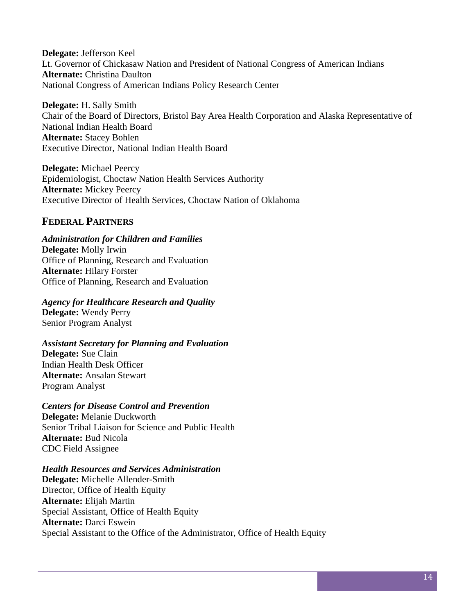**Delegate:** Jefferson Keel Lt. Governor of Chickasaw Nation and President of National Congress of American Indians **Alternate:** Christina Daulton National Congress of American Indians Policy Research Center

**Delegate:** H. Sally Smith Chair of the Board of Directors, Bristol Bay Area Health Corporation and Alaska Representative of National Indian Health Board **Alternate:** Stacey Bohlen Executive Director, National Indian Health Board

**Delegate:** Michael Peercy Epidemiologist, Choctaw Nation Health Services Authority **Alternate:** Mickey Peercy Executive Director of Health Services, Choctaw Nation of Oklahoma

## <span id="page-15-0"></span>**FEDERAL PARTNERS**

#### *Administration for Children and Families*

**Delegate:** Molly Irwin Office of Planning, Research and Evaluation **Alternate:** Hilary Forster Office of Planning, Research and Evaluation

#### *Agency for Healthcare Research and Quality*

**Delegate:** Wendy Perry Senior Program Analyst

## *Assistant Secretary for Planning and Evaluation*

**Delegate:** Sue Clain Indian Health Desk Officer **Alternate:** Ansalan Stewart Program Analyst

#### *Centers for Disease Control and Prevention*

**Delegate:** Melanie Duckworth Senior Tribal Liaison for Science and Public Health **Alternate:** Bud Nicola CDC Field Assignee

#### *Health Resources and Services Administration*

**Delegate:** Michelle Allender-Smith Director, Office of Health Equity **Alternate:** Elijah Martin Special Assistant, Office of Health Equity **Alternate:** Darci Eswein Special Assistant to the Office of the Administrator, Office of Health Equity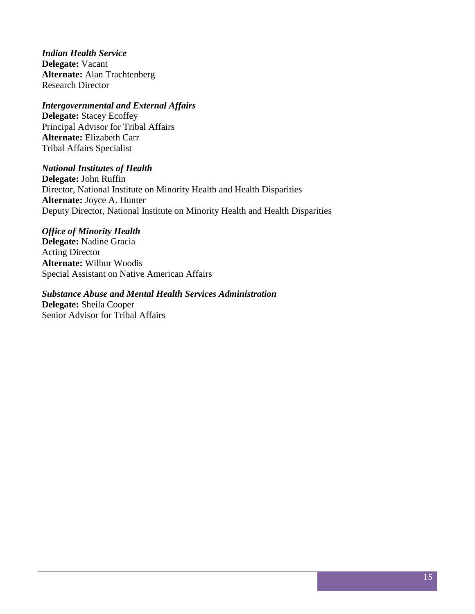*Indian Health Service*  **Delegate:** Vacant **Alternate:** Alan Trachtenberg Research Director

#### *Intergovernmental and External Affairs*

**Delegate:** Stacey Ecoffey Principal Advisor for Tribal Affairs **Alternate:** Elizabeth Carr Tribal Affairs Specialist

#### *National Institutes of Health*

**Delegate:** John Ruffin Director, National Institute on Minority Health and Health Disparities **Alternate:** Joyce A. Hunter Deputy Director, National Institute on Minority Health and Health Disparities

#### *Office of Minority Health*

**Delegate:** Nadine Gracia Acting Director **Alternate:** Wilbur Woodis Special Assistant on Native American Affairs

#### *Substance Abuse and Mental Health Services Administration*

**Delegate:** Sheila Cooper Senior Advisor for Tribal Affairs